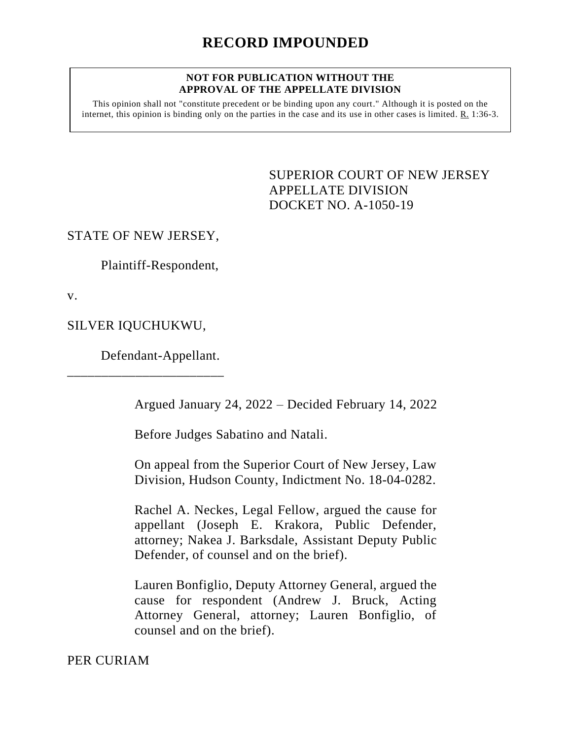#### **NOT FOR PUBLICATION WITHOUT THE APPROVAL OF THE APPELLATE DIVISION**

This opinion shall not "constitute precedent or be binding upon any court." Although it is posted on the internet, this opinion is binding only on the parties in the case and its use in other cases is limited. R. 1:36-3.

> <span id="page-0-0"></span>SUPERIOR COURT OF NEW JERSEY APPELLATE DIVISION DOCKET NO. A-1050-19

# STATE OF NEW JERSEY,

Plaintiff-Respondent,

v.

SILVER IQUCHUKWU,

\_\_\_\_\_\_\_\_\_\_\_\_\_\_\_\_\_\_\_\_\_\_\_

Defendant-Appellant.

Argued January 24, 2022 – Decided February 14, 2022

Before Judges Sabatino and Natali.

On appeal from the Superior Court of New Jersey, Law Division, Hudson County, Indictment No. 18-04-0282.

Rachel A. Neckes, Legal Fellow, argued the cause for appellant (Joseph E. Krakora, Public Defender, attorney; Nakea J. Barksdale, Assistant Deputy Public Defender, of counsel and on the brief).

Lauren Bonfiglio, Deputy Attorney General, argued the cause for respondent (Andrew J. Bruck, Acting Attorney General, attorney; Lauren Bonfiglio, of counsel and on the brief).

PER CURIAM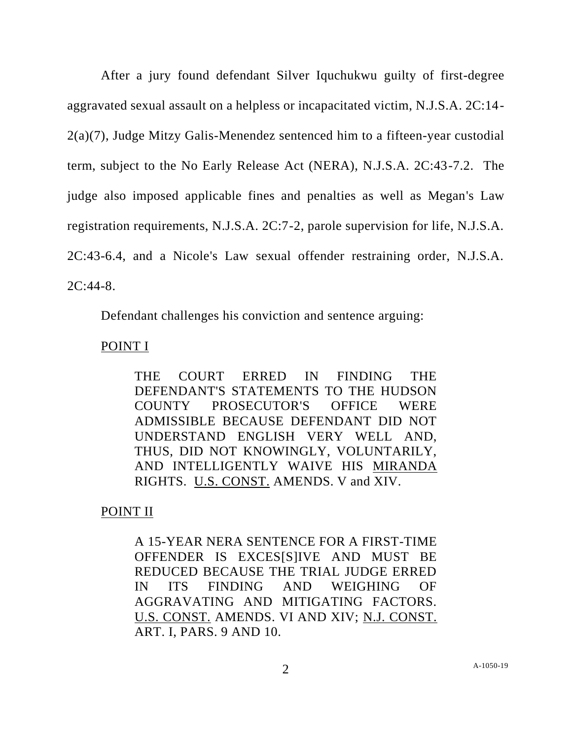After a jury found defendant Silver Iquchukwu guilty of first-degree aggravated sexual assault on a helpless or incapacitated victim, N.J.S.A. 2C:14- 2(a)(7), Judge Mitzy Galis-Menendez sentenced him to a fifteen-year custodial term, subject to the No Early Release Act (NERA), N.J.S.A. 2C:43-7.2. The judge also imposed applicable fines and penalties as well as Megan's Law registration requirements, N.J.S.A. 2C:7-2, parole supervision for life, N.J.S.A. 2C:43-6.4, and a Nicole's Law sexual offender restraining order, N.J.S.A. 2C:44-8.

Defendant challenges his conviction and sentence arguing:

## POINT I

THE COURT ERRED IN FINDING THE DEFENDANT'S STATEMENTS TO THE HUDSON COUNTY PROSECUTOR'S OFFICE WERE ADMISSIBLE BECAUSE DEFENDANT DID NOT UNDERSTAND ENGLISH VERY WELL AND, THUS, DID NOT KNOWINGLY, VOLUNTARILY, AND INTELLIGENTLY WAIVE HIS MIRANDA RIGHTS. U.S. CONST. AMENDS. V and XIV.

## POINT II

A 15-YEAR NERA SENTENCE FOR A FIRST-TIME OFFENDER IS EXCES[S]IVE AND MUST BE REDUCED BECAUSE THE TRIAL JUDGE ERRED IN ITS FINDING AND WEIGHING OF AGGRAVATING AND MITIGATING FACTORS. U.S. CONST. AMENDS. VI AND XIV; N.J. CONST. ART. I, PARS. 9 AND 10.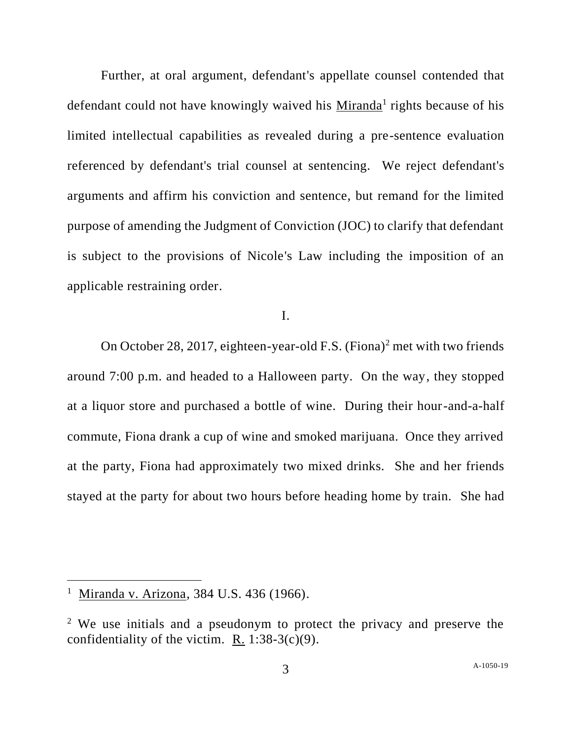Further, at oral argument, defendant's appellate counsel contended that defendant could not have knowingly waived his Miranda<sup>1</sup> rights because of his limited intellectual capabilities as revealed during a pre-sentence evaluation referenced by defendant's trial counsel at sentencing. We reject defendant's arguments and affirm his conviction and sentence, but remand for the limited purpose of amending the Judgment of Conviction (JOC) to clarify that defendant is subject to the provisions of Nicole's Law including the imposition of an applicable restraining order.

## I.

On October 28, 2017, eighteen-year-old F.S. (Fiona)<sup>2</sup> met with two friends around 7:00 p.m. and headed to a Halloween party. On the way, they stopped at a liquor store and purchased a bottle of wine. During their hour-and-a-half commute, Fiona drank a cup of wine and smoked marijuana. Once they arrived at the party, Fiona had approximately two mixed drinks. She and her friends stayed at the party for about two hours before heading home by train. She had

<sup>&</sup>lt;sup>1</sup> Miranda v. Arizona, 384 U.S. 436 (1966).

<sup>&</sup>lt;sup>2</sup> We use initials and a pseudonym to protect the privacy and preserve the confidentiality of the victim. R.  $1:38-3(c)(9)$ .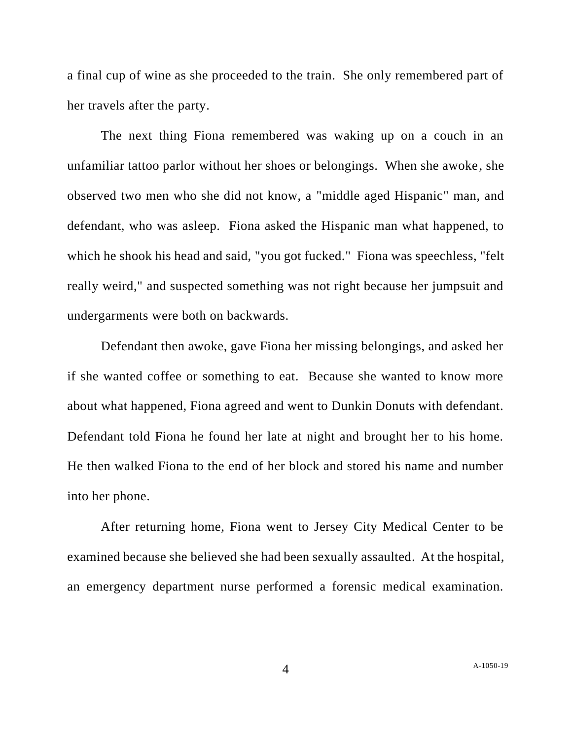a final cup of wine as she proceeded to the train. She only remembered part of her travels after the party.

The next thing Fiona remembered was waking up on a couch in an unfamiliar tattoo parlor without her shoes or belongings. When she awoke, she observed two men who she did not know, a "middle aged Hispanic" man, and defendant, who was asleep. Fiona asked the Hispanic man what happened, to which he shook his head and said, "you got fucked." Fiona was speechless, "felt really weird," and suspected something was not right because her jumpsuit and undergarments were both on backwards.

Defendant then awoke, gave Fiona her missing belongings, and asked her if she wanted coffee or something to eat. Because she wanted to know more about what happened, Fiona agreed and went to Dunkin Donuts with defendant. Defendant told Fiona he found her late at night and brought her to his home. He then walked Fiona to the end of her block and stored his name and number into her phone.

After returning home, Fiona went to Jersey City Medical Center to be examined because she believed she had been sexually assaulted. At the hospital, an emergency department nurse performed a forensic medical examination.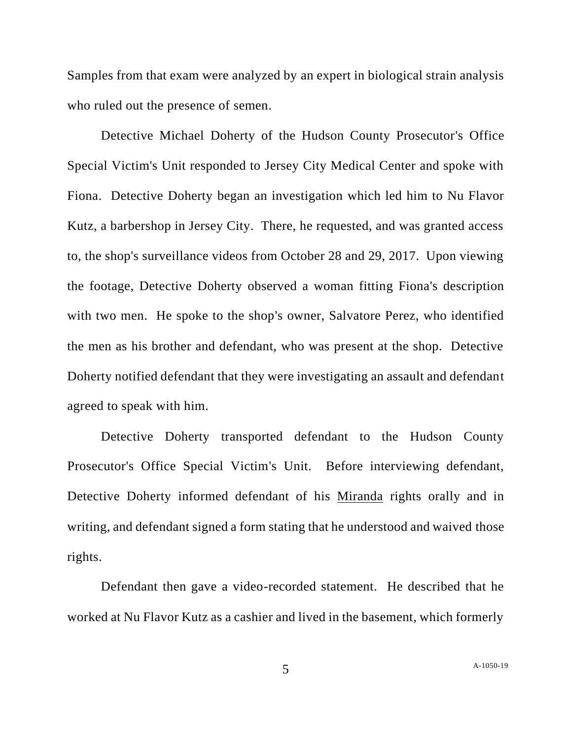Samples from that exam were analyzed by an expert in biological strain analysis who ruled out the presence of semen.

Detective Michael Doherty of the Hudson County Prosecutor's Office Special Victim's Unit responded to Jersey City Medical Center and spoke with Fiona. Detective Doherty began an investigation which led him to Nu Flavor Kutz, a barbershop in Jersey City. There, he requested, and was granted access to, the shop's surveillance videos from October 28 and 29, 2017. Upon viewing the footage, Detective Doherty observed a woman fitting Fiona's description with two men. He spoke to the shop's owner, Salvatore Perez, who identified the men as his brother and defendant, who was present at the shop. Detective Doherty notified defendant that they were investigating an assault and defendant agreed to speak with him.

Detective Doherty transported defendant to the Hudson County Prosecutor's Office Special Victim's Unit. Before interviewing defendant, Detective Doherty informed defendant of his Miranda rights orally and in writing, and defendant signed a form stating that he understood and waived those rights.

Defendant then gave a video-recorded statement. He described that he worked at Nu Flavor Kutz as a cashier and lived in the basement, which formerly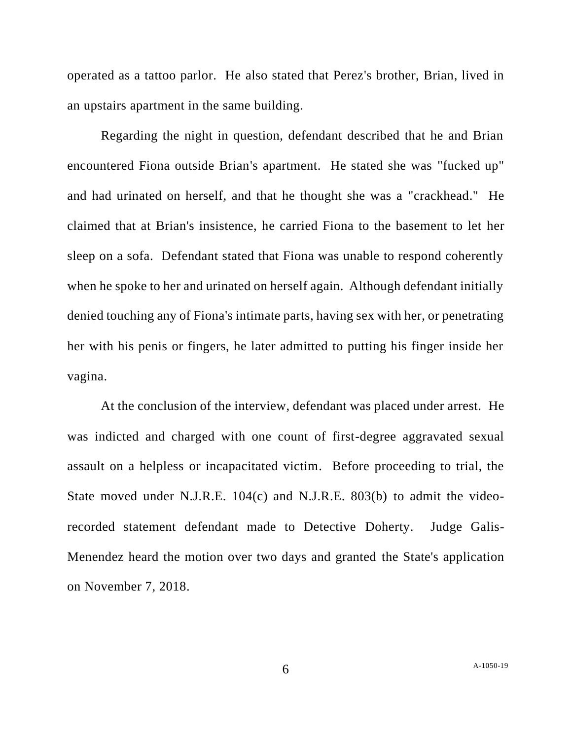operated as a tattoo parlor. He also stated that Perez's brother, Brian, lived in an upstairs apartment in the same building.

Regarding the night in question, defendant described that he and Brian encountered Fiona outside Brian's apartment. He stated she was "fucked up" and had urinated on herself, and that he thought she was a "crackhead." He claimed that at Brian's insistence, he carried Fiona to the basement to let her sleep on a sofa. Defendant stated that Fiona was unable to respond coherently when he spoke to her and urinated on herself again. Although defendant initially denied touching any of Fiona's intimate parts, having sex with her, or penetrating her with his penis or fingers, he later admitted to putting his finger inside her vagina.

At the conclusion of the interview, defendant was placed under arrest. He was indicted and charged with one count of first-degree aggravated sexual assault on a helpless or incapacitated victim. Before proceeding to trial, the State moved under N.J.R.E. 104(c) and N.J.R.E. 803(b) to admit the videorecorded statement defendant made to Detective Doherty. Judge Galis-Menendez heard the motion over two days and granted the State's application on November 7, 2018.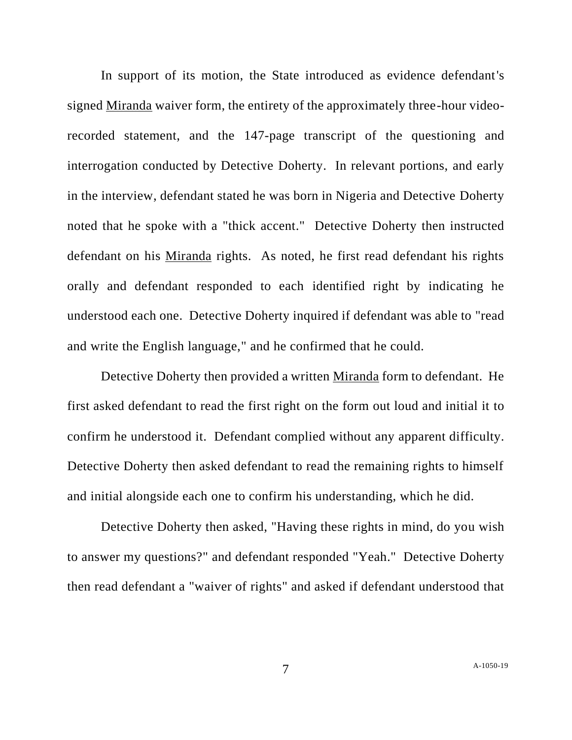In support of its motion, the State introduced as evidence defendant's signed Miranda waiver form, the entirety of the approximately three-hour videorecorded statement, and the 147-page transcript of the questioning and interrogation conducted by Detective Doherty. In relevant portions, and early in the interview, defendant stated he was born in Nigeria and Detective Doherty noted that he spoke with a "thick accent." Detective Doherty then instructed defendant on his Miranda rights. As noted, he first read defendant his rights orally and defendant responded to each identified right by indicating he understood each one. Detective Doherty inquired if defendant was able to "read and write the English language," and he confirmed that he could.

Detective Doherty then provided a written Miranda form to defendant. He first asked defendant to read the first right on the form out loud and initial it to confirm he understood it. Defendant complied without any apparent difficulty. Detective Doherty then asked defendant to read the remaining rights to himself and initial alongside each one to confirm his understanding, which he did.

Detective Doherty then asked, "Having these rights in mind, do you wish to answer my questions?" and defendant responded "Yeah." Detective Doherty then read defendant a "waiver of rights" and asked if defendant understood that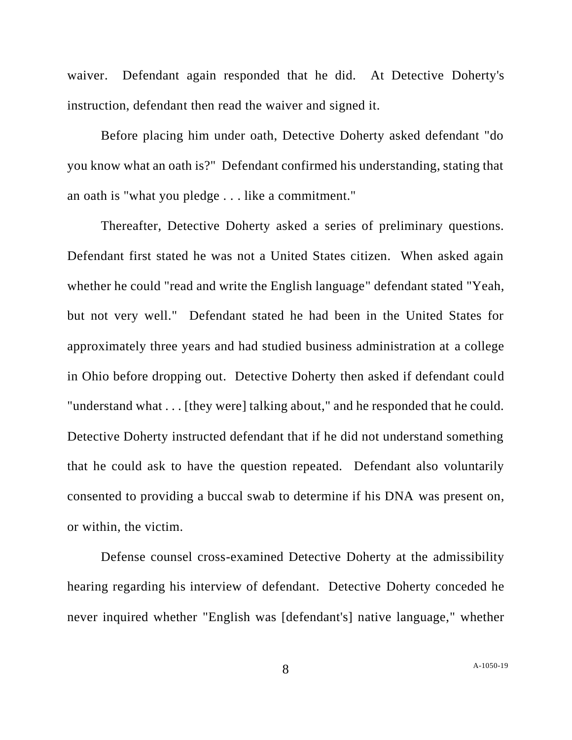waiver. Defendant again responded that he did. At Detective Doherty's instruction, defendant then read the waiver and signed it.

Before placing him under oath, Detective Doherty asked defendant "do you know what an oath is?" Defendant confirmed his understanding, stating that an oath is "what you pledge . . . like a commitment."

Thereafter, Detective Doherty asked a series of preliminary questions. Defendant first stated he was not a United States citizen. When asked again whether he could "read and write the English language" defendant stated "Yeah, but not very well." Defendant stated he had been in the United States for approximately three years and had studied business administration at a college in Ohio before dropping out. Detective Doherty then asked if defendant could "understand what . . . [they were] talking about," and he responded that he could. Detective Doherty instructed defendant that if he did not understand something that he could ask to have the question repeated. Defendant also voluntarily consented to providing a buccal swab to determine if his DNA was present on, or within, the victim.

Defense counsel cross-examined Detective Doherty at the admissibility hearing regarding his interview of defendant. Detective Doherty conceded he never inquired whether "English was [defendant's] native language," whether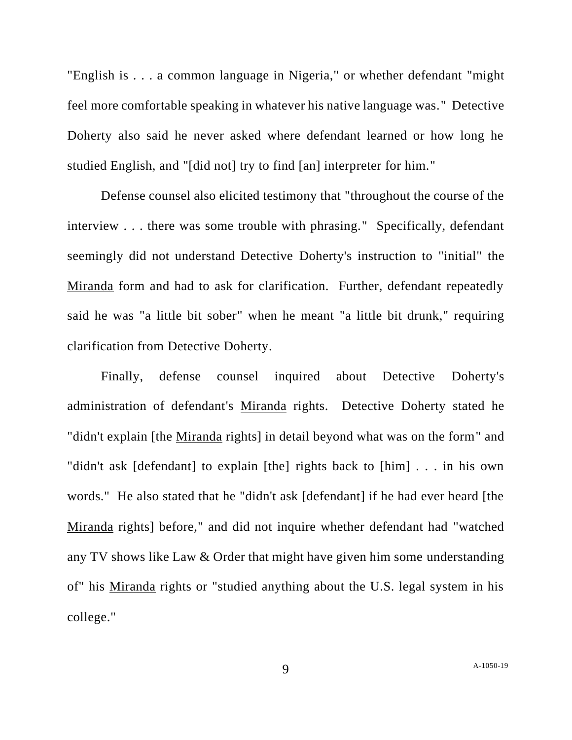"English is . . . a common language in Nigeria," or whether defendant "might feel more comfortable speaking in whatever his native language was." Detective Doherty also said he never asked where defendant learned or how long he studied English, and "[did not] try to find [an] interpreter for him."

Defense counsel also elicited testimony that "throughout the course of the interview . . . there was some trouble with phrasing." Specifically, defendant seemingly did not understand Detective Doherty's instruction to "initial" the Miranda form and had to ask for clarification. Further, defendant repeatedly said he was "a little bit sober" when he meant "a little bit drunk," requiring clarification from Detective Doherty.

Finally, defense counsel inquired about Detective Doherty's administration of defendant's Miranda rights. Detective Doherty stated he "didn't explain [the Miranda rights] in detail beyond what was on the form" and "didn't ask [defendant] to explain [the] rights back to [him] . . . in his own words." He also stated that he "didn't ask [defendant] if he had ever heard [the Miranda rights] before," and did not inquire whether defendant had "watched any TV shows like Law & Order that might have given him some understanding of" his Miranda rights or "studied anything about the U.S. legal system in his college."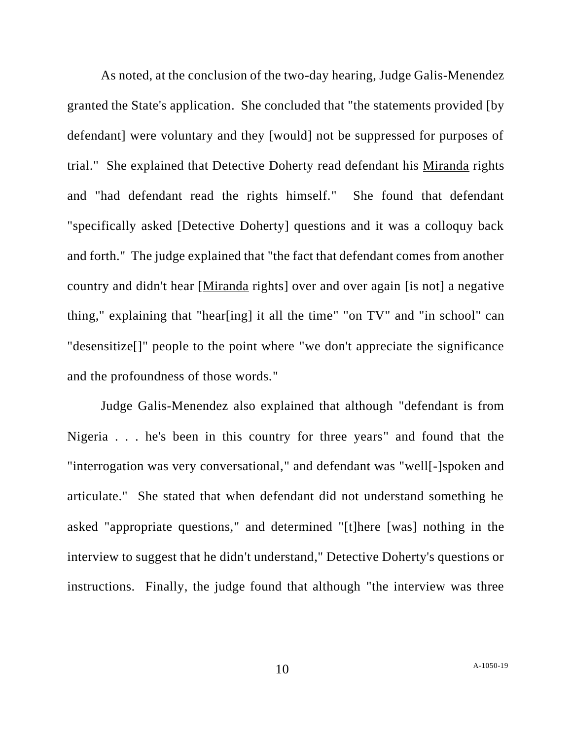As noted, at the conclusion of the two-day hearing, Judge Galis-Menendez granted the State's application. She concluded that "the statements provided [by defendant] were voluntary and they [would] not be suppressed for purposes of trial." She explained that Detective Doherty read defendant his Miranda rights and "had defendant read the rights himself." She found that defendant "specifically asked [Detective Doherty] questions and it was a colloquy back and forth." The judge explained that "the fact that defendant comes from another country and didn't hear [Miranda rights] over and over again [is not] a negative thing," explaining that "hear[ing] it all the time" "on TV" and "in school" can "desensitize[]" people to the point where "we don't appreciate the significance and the profoundness of those words."

Judge Galis-Menendez also explained that although "defendant is from Nigeria . . . he's been in this country for three years" and found that the "interrogation was very conversational," and defendant was "well[-]spoken and articulate." She stated that when defendant did not understand something he asked "appropriate questions," and determined "[t]here [was] nothing in the interview to suggest that he didn't understand," Detective Doherty's questions or instructions. Finally, the judge found that although "the interview was three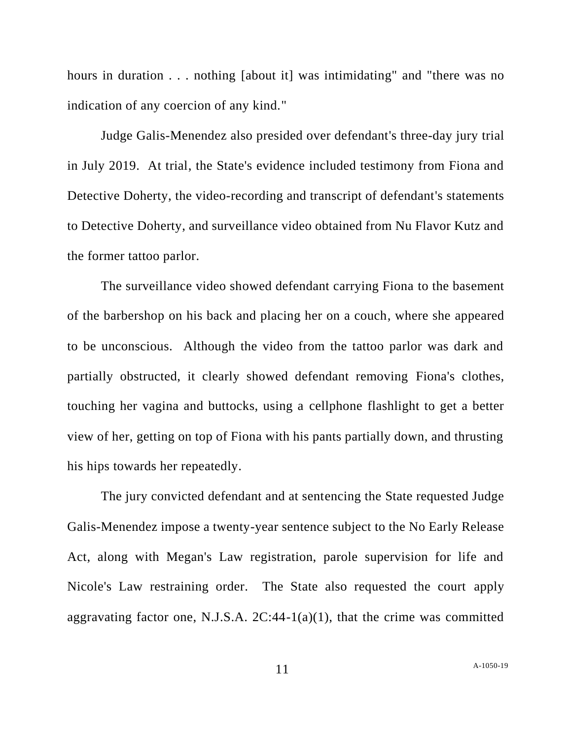hours in duration . . . nothing [about it] was intimidating" and "there was no indication of any coercion of any kind."

Judge Galis-Menendez also presided over defendant's three-day jury trial in July 2019. At trial, the State's evidence included testimony from Fiona and Detective Doherty, the video-recording and transcript of defendant's statements to Detective Doherty, and surveillance video obtained from Nu Flavor Kutz and the former tattoo parlor.

The surveillance video showed defendant carrying Fiona to the basement of the barbershop on his back and placing her on a couch, where she appeared to be unconscious. Although the video from the tattoo parlor was dark and partially obstructed, it clearly showed defendant removing Fiona's clothes, touching her vagina and buttocks, using a cellphone flashlight to get a better view of her, getting on top of Fiona with his pants partially down, and thrusting his hips towards her repeatedly.

The jury convicted defendant and at sentencing the State requested Judge Galis-Menendez impose a twenty-year sentence subject to the No Early Release Act, along with Megan's Law registration, parole supervision for life and Nicole's Law restraining order. The State also requested the court apply aggravating factor one, N.J.S.A.  $2C:44-1(a)(1)$ , that the crime was committed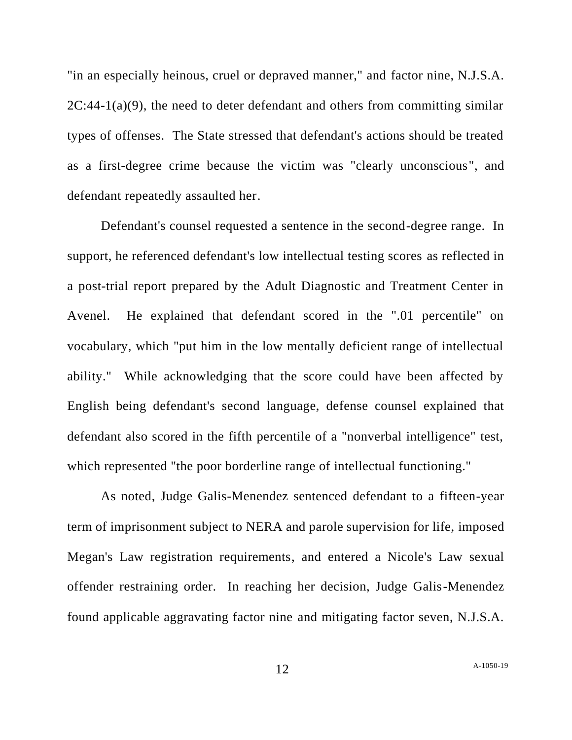"in an especially heinous, cruel or depraved manner," and factor nine, N.J.S.A.  $2C:44-1(a)(9)$ , the need to deter defendant and others from committing similar types of offenses. The State stressed that defendant's actions should be treated as a first-degree crime because the victim was "clearly unconscious", and defendant repeatedly assaulted her.

Defendant's counsel requested a sentence in the second-degree range. In support, he referenced defendant's low intellectual testing scores as reflected in a post-trial report prepared by the Adult Diagnostic and Treatment Center in Avenel. He explained that defendant scored in the ".01 percentile" on vocabulary, which "put him in the low mentally deficient range of intellectual ability." While acknowledging that the score could have been affected by English being defendant's second language, defense counsel explained that defendant also scored in the fifth percentile of a "nonverbal intelligence" test, which represented "the poor borderline range of intellectual functioning."

As noted, Judge Galis-Menendez sentenced defendant to a fifteen-year term of imprisonment subject to NERA and parole supervision for life, imposed Megan's Law registration requirements, and entered a Nicole's Law sexual offender restraining order. In reaching her decision, Judge Galis-Menendez found applicable aggravating factor nine and mitigating factor seven, N.J.S.A.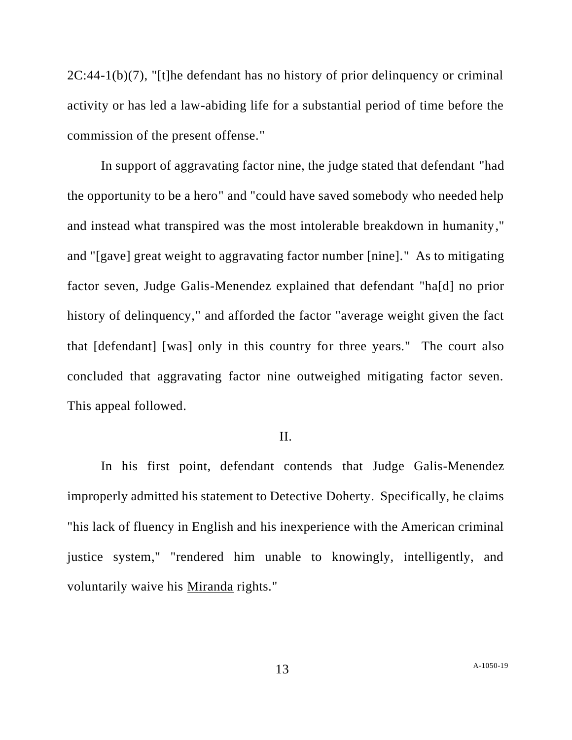2C:44-1(b)(7), "[t]he defendant has no history of prior delinquency or criminal activity or has led a law-abiding life for a substantial period of time before the commission of the present offense."

In support of aggravating factor nine, the judge stated that defendant "had the opportunity to be a hero" and "could have saved somebody who needed help and instead what transpired was the most intolerable breakdown in humanity," and "[gave] great weight to aggravating factor number [nine]." As to mitigating factor seven, Judge Galis-Menendez explained that defendant "ha[d] no prior history of delinquency," and afforded the factor "average weight given the fact that [defendant] [was] only in this country for three years." The court also concluded that aggravating factor nine outweighed mitigating factor seven. This appeal followed.

#### II.

In his first point, defendant contends that Judge Galis-Menendez improperly admitted his statement to Detective Doherty. Specifically, he claims "his lack of fluency in English and his inexperience with the American criminal justice system," "rendered him unable to knowingly, intelligently, and voluntarily waive his Miranda rights."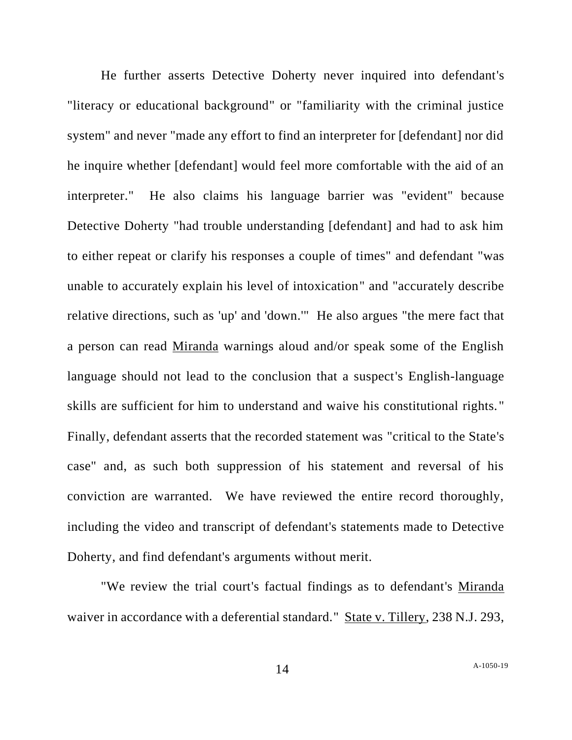He further asserts Detective Doherty never inquired into defendant's "literacy or educational background" or "familiarity with the criminal justice system" and never "made any effort to find an interpreter for [defendant] nor did he inquire whether [defendant] would feel more comfortable with the aid of an interpreter." He also claims his language barrier was "evident" because Detective Doherty "had trouble understanding [defendant] and had to ask him to either repeat or clarify his responses a couple of times" and defendant "was unable to accurately explain his level of intoxication" and "accurately describe relative directions, such as 'up' and 'down.'" He also argues "the mere fact that a person can read Miranda warnings aloud and/or speak some of the English language should not lead to the conclusion that a suspect's English-language skills are sufficient for him to understand and waive his constitutional rights. " Finally, defendant asserts that the recorded statement was "critical to the State's case" and, as such both suppression of his statement and reversal of his conviction are warranted. We have reviewed the entire record thoroughly, including the video and transcript of defendant's statements made to Detective Doherty, and find defendant's arguments without merit.

"We review the trial court's factual findings as to defendant's Miranda waiver in accordance with a deferential standard." State v. Tillery, 238 N.J. 293,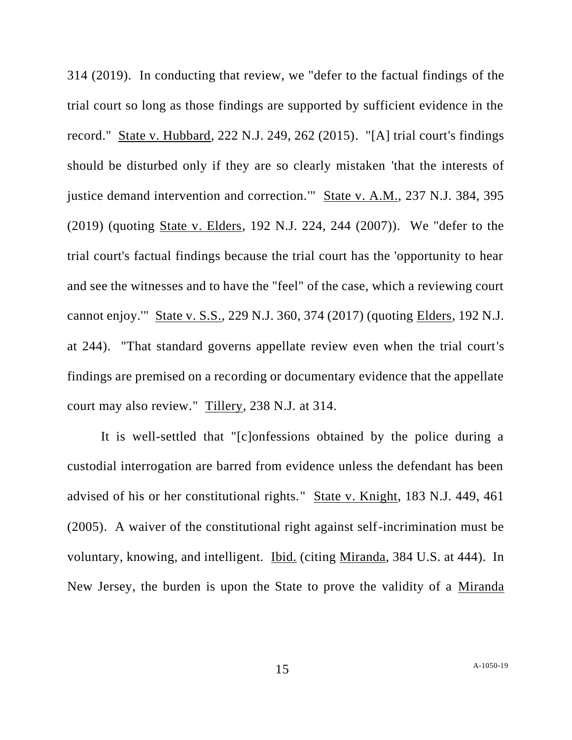314 (2019). In conducting that review, we "defer to the factual findings of the trial court so long as those findings are supported by sufficient evidence in the record." State v. Hubbard, 222 N.J. 249, 262 (2015). "[A] trial court's findings should be disturbed only if they are so clearly mistaken 'that the interests of justice demand intervention and correction.'" State v. A.M., 237 N.J. 384, 395 (2019) (quoting State v. Elders, 192 N.J. 224, 244 (2007)). We "defer to the trial court's factual findings because the trial court has the 'opportunity to hear and see the witnesses and to have the "feel" of the case, which a reviewing court cannot enjoy.'" State v. S.S., 229 N.J. 360, 374 (2017) (quoting Elders, 192 N.J. at 244). "That standard governs appellate review even when the trial court's findings are premised on a recording or documentary evidence that the appellate court may also review." Tillery, 238 N.J. at 314.

It is well-settled that "[c]onfessions obtained by the police during a custodial interrogation are barred from evidence unless the defendant has been advised of his or her constitutional rights." State v. Knight, 183 N.J. 449, 461 (2005). A waiver of the constitutional right against self-incrimination must be voluntary, knowing, and intelligent. Ibid. (citing Miranda, 384 U.S. at 444). In New Jersey, the burden is upon the State to prove the validity of a Miranda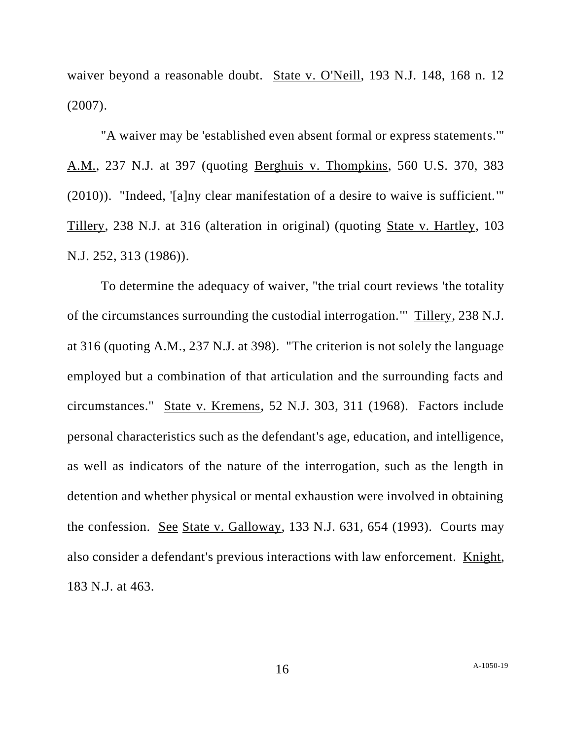waiver beyond a reasonable doubt. State v. O'Neill, 193 N.J. 148, 168 n. 12 (2007).

"A waiver may be 'established even absent formal or express statements.'" A.M., 237 N.J. at 397 (quoting Berghuis v. Thompkins, 560 U.S. 370, 383 (2010)). "Indeed, '[a]ny clear manifestation of a desire to waive is sufficient.'" Tillery, 238 N.J. at 316 (alteration in original) (quoting State v. Hartley, 103 N.J. 252, 313 (1986)).

To determine the adequacy of waiver, "the trial court reviews 'the totality of the circumstances surrounding the custodial interrogation.'" Tillery, 238 N.J. at 316 (quoting A.M., 237 N.J. at 398). "The criterion is not solely the language employed but a combination of that articulation and the surrounding facts and circumstances." State v. Kremens, 52 N.J. 303, 311 (1968). Factors include personal characteristics such as the defendant's age, education, and intelligence, as well as indicators of the nature of the interrogation, such as the length in detention and whether physical or mental exhaustion were involved in obtaining the confession. See State v. Galloway, 133 N.J. 631, 654 (1993). Courts may also consider a defendant's previous interactions with law enforcement. Knight, 183 N.J. at 463.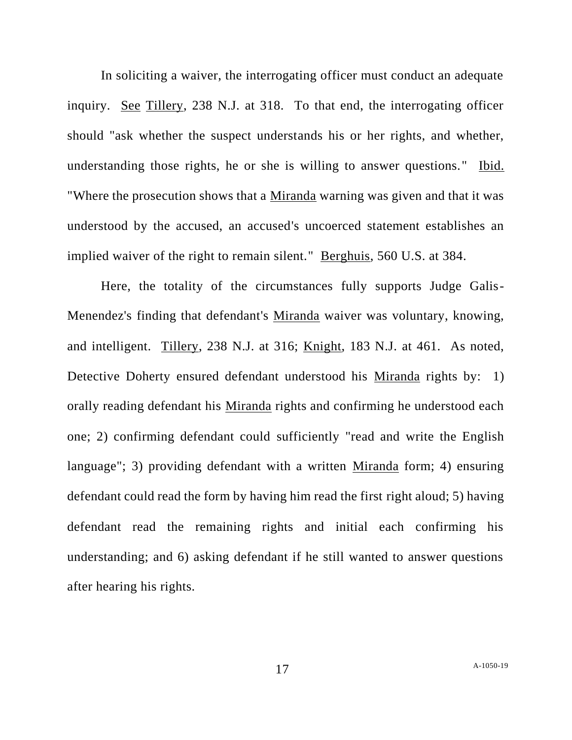In soliciting a waiver, the interrogating officer must conduct an adequate inquiry. See Tillery, 238 N.J. at 318. To that end, the interrogating officer should "ask whether the suspect understands his or her rights, and whether, understanding those rights, he or she is willing to answer questions." Ibid. "Where the prosecution shows that a Miranda warning was given and that it was understood by the accused, an accused's uncoerced statement establishes an implied waiver of the right to remain silent." Berghuis, 560 U.S. at 384.

Here, the totality of the circumstances fully supports Judge Galis-Menendez's finding that defendant's Miranda waiver was voluntary, knowing, and intelligent. Tillery, 238 N.J. at 316; Knight, 183 N.J. at 461. As noted, Detective Doherty ensured defendant understood his Miranda rights by: 1) orally reading defendant his Miranda rights and confirming he understood each one; 2) confirming defendant could sufficiently "read and write the English language"; 3) providing defendant with a written Miranda form; 4) ensuring defendant could read the form by having him read the first right aloud; 5) having defendant read the remaining rights and initial each confirming his understanding; and 6) asking defendant if he still wanted to answer questions after hearing his rights.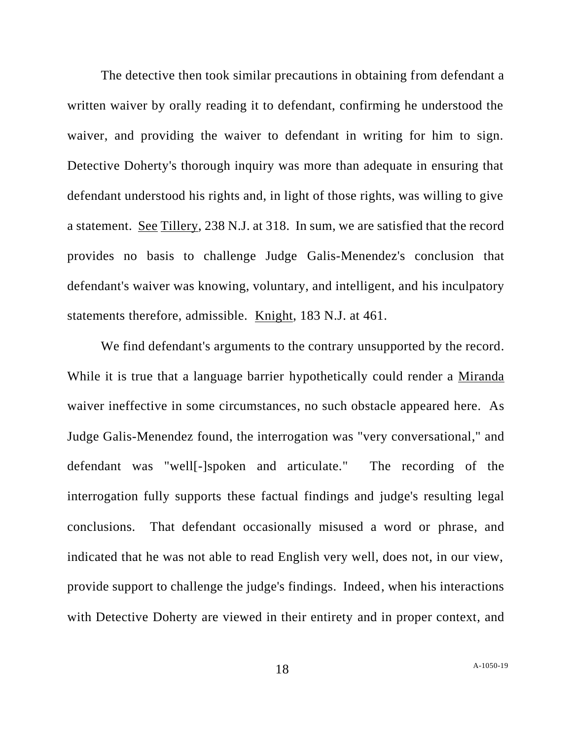The detective then took similar precautions in obtaining from defendant a written waiver by orally reading it to defendant, confirming he understood the waiver, and providing the waiver to defendant in writing for him to sign. Detective Doherty's thorough inquiry was more than adequate in ensuring that defendant understood his rights and, in light of those rights, was willing to give a statement. See Tillery, 238 N.J. at 318. In sum, we are satisfied that the record provides no basis to challenge Judge Galis-Menendez's conclusion that defendant's waiver was knowing, voluntary, and intelligent, and his inculpatory statements therefore, admissible. Knight, 183 N.J. at 461.

We find defendant's arguments to the contrary unsupported by the record. While it is true that a language barrier hypothetically could render a Miranda waiver ineffective in some circumstances, no such obstacle appeared here. As Judge Galis-Menendez found, the interrogation was "very conversational," and defendant was "well[-]spoken and articulate." The recording of the interrogation fully supports these factual findings and judge's resulting legal conclusions. That defendant occasionally misused a word or phrase, and indicated that he was not able to read English very well, does not, in our view, provide support to challenge the judge's findings. Indeed, when his interactions with Detective Doherty are viewed in their entirety and in proper context, and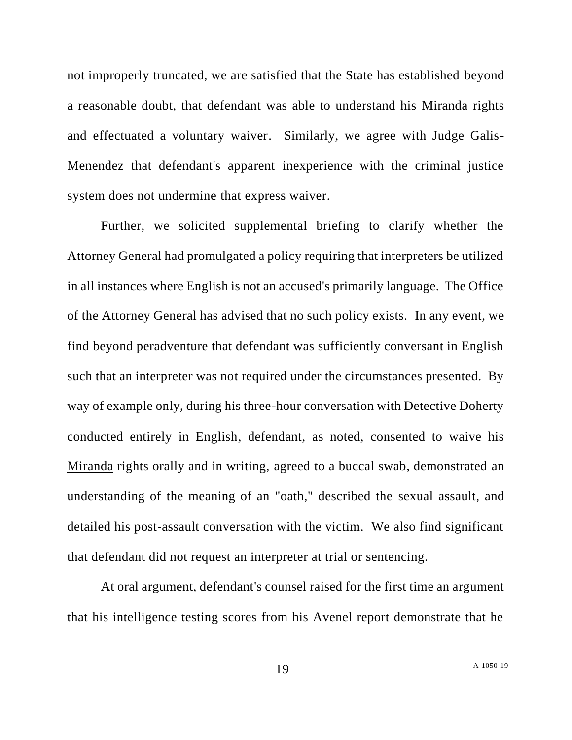not improperly truncated, we are satisfied that the State has established beyond a reasonable doubt, that defendant was able to understand his Miranda rights and effectuated a voluntary waiver. Similarly, we agree with Judge Galis-Menendez that defendant's apparent inexperience with the criminal justice system does not undermine that express waiver.

Further, we solicited supplemental briefing to clarify whether the Attorney General had promulgated a policy requiring that interpreters be utilized in all instances where English is not an accused's primarily language. The Office of the Attorney General has advised that no such policy exists. In any event, we find beyond peradventure that defendant was sufficiently conversant in English such that an interpreter was not required under the circumstances presented. By way of example only, during his three-hour conversation with Detective Doherty conducted entirely in English, defendant, as noted, consented to waive his Miranda rights orally and in writing, agreed to a buccal swab, demonstrated an understanding of the meaning of an "oath," described the sexual assault, and detailed his post-assault conversation with the victim. We also find significant that defendant did not request an interpreter at trial or sentencing.

At oral argument, defendant's counsel raised for the first time an argument that his intelligence testing scores from his Avenel report demonstrate that he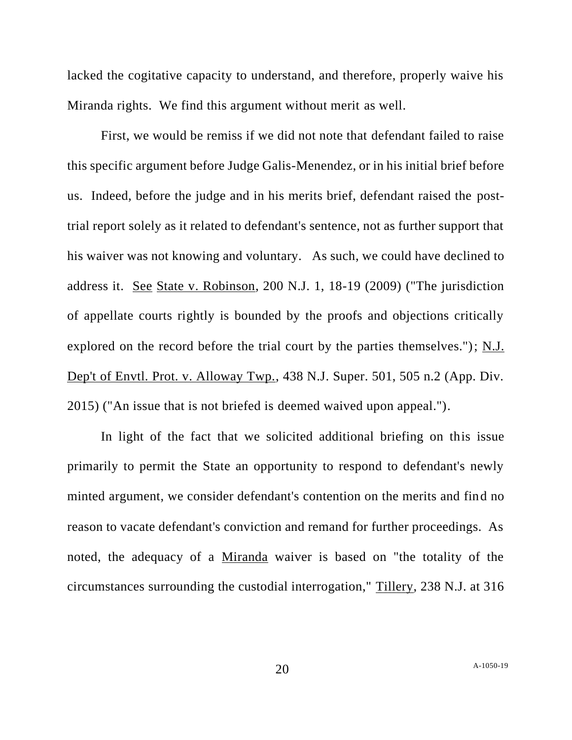lacked the cogitative capacity to understand, and therefore, properly waive his Miranda rights. We find this argument without merit as well.

First, we would be remiss if we did not note that defendant failed to raise this specific argument before Judge Galis-Menendez, or in his initial brief before us. Indeed, before the judge and in his merits brief, defendant raised the posttrial report solely as it related to defendant's sentence, not as further support that his waiver was not knowing and voluntary. As such, we could have declined to address it. See State v. Robinson, 200 N.J. 1, 18-19 (2009) ("The jurisdiction of appellate courts rightly is bounded by the proofs and objections critically explored on the record before the trial court by the parties themselves."); N.J. Dep't of Envtl. Prot. v. Alloway Twp., 438 N.J. Super. 501, 505 n.2 (App. Div. 2015) ("An issue that is not briefed is deemed waived upon appeal.").

In light of the fact that we solicited additional briefing on this issue primarily to permit the State an opportunity to respond to defendant's newly minted argument, we consider defendant's contention on the merits and find no reason to vacate defendant's conviction and remand for further proceedings. As noted, the adequacy of a Miranda waiver is based on "the totality of the circumstances surrounding the custodial interrogation," Tillery, 238 N.J. at 316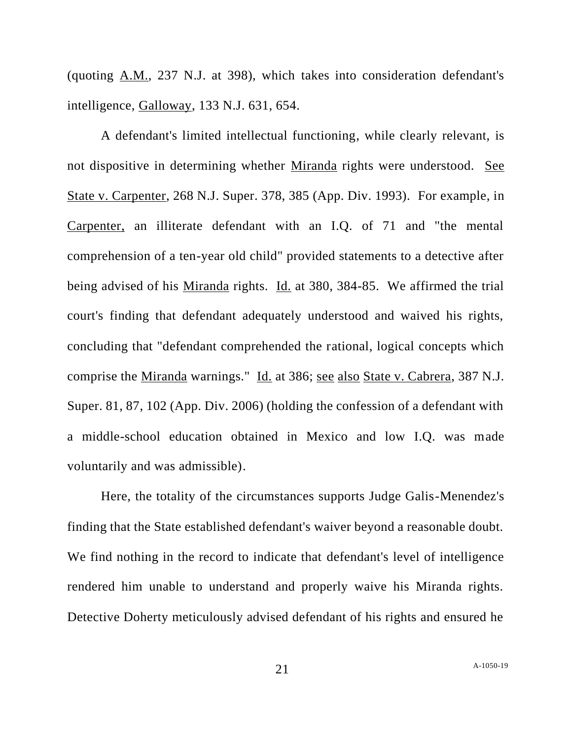(quoting A.M., 237 N.J. at 398), which takes into consideration defendant's intelligence, Galloway, 133 N.J. 631, 654.

A defendant's limited intellectual functioning, while clearly relevant, is not dispositive in determining whether Miranda rights were understood. See State v. Carpenter, 268 N.J. Super. 378, 385 (App. Div. 1993). For example, in Carpenter, an illiterate defendant with an I.Q. of 71 and "the mental comprehension of a ten-year old child" provided statements to a detective after being advised of his Miranda rights. Id. at 380, 384-85. We affirmed the trial court's finding that defendant adequately understood and waived his rights, concluding that "defendant comprehended the rational, logical concepts which comprise the Miranda warnings." Id. at 386; see also State v. Cabrera, 387 N.J. Super. 81, 87, 102 (App. Div. 2006) (holding the confession of a defendant with a middle-school education obtained in Mexico and low I.Q. was made voluntarily and was admissible).

Here, the totality of the circumstances supports Judge Galis-Menendez's finding that the State established defendant's waiver beyond a reasonable doubt. We find nothing in the record to indicate that defendant's level of intelligence rendered him unable to understand and properly waive his Miranda rights. Detective Doherty meticulously advised defendant of his rights and ensured he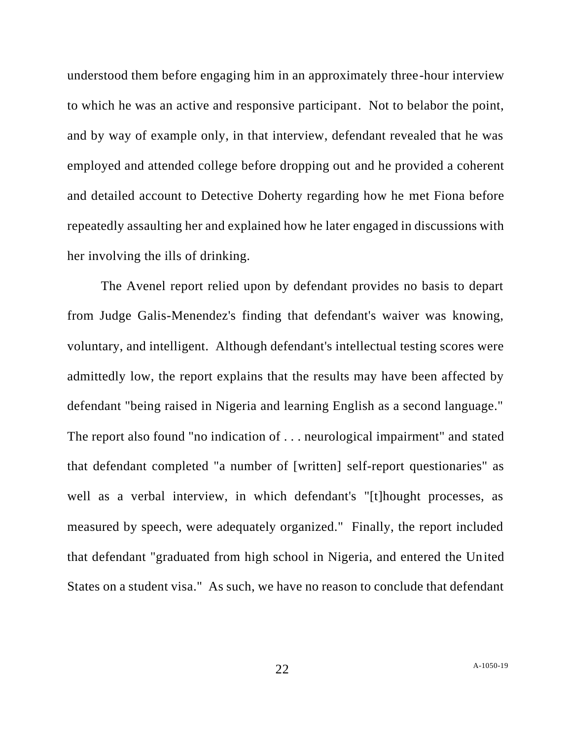understood them before engaging him in an approximately three-hour interview to which he was an active and responsive participant. Not to belabor the point, and by way of example only, in that interview, defendant revealed that he was employed and attended college before dropping out and he provided a coherent and detailed account to Detective Doherty regarding how he met Fiona before repeatedly assaulting her and explained how he later engaged in discussions with her involving the ills of drinking.

The Avenel report relied upon by defendant provides no basis to depart from Judge Galis-Menendez's finding that defendant's waiver was knowing, voluntary, and intelligent. Although defendant's intellectual testing scores were admittedly low, the report explains that the results may have been affected by defendant "being raised in Nigeria and learning English as a second language." The report also found "no indication of . . . neurological impairment" and stated that defendant completed "a number of [written] self-report questionaries" as well as a verbal interview, in which defendant's "[t]hought processes, as measured by speech, were adequately organized." Finally, the report included that defendant "graduated from high school in Nigeria, and entered the United States on a student visa." As such, we have no reason to conclude that defendant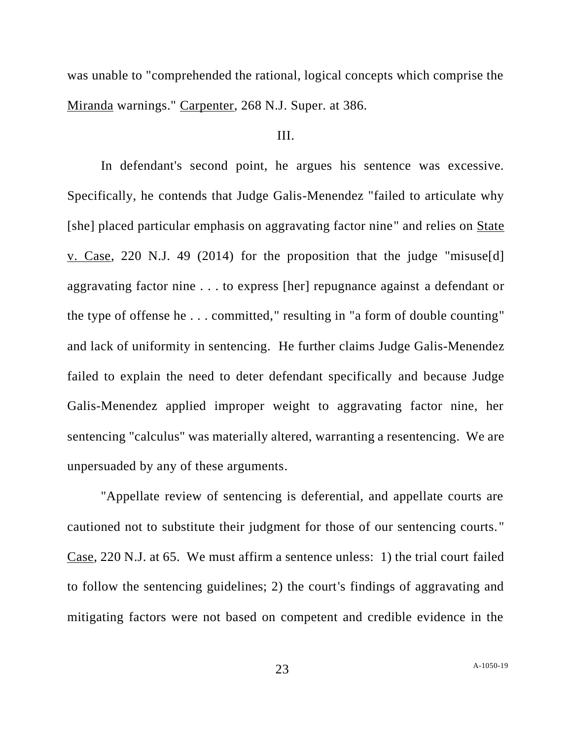was unable to "comprehended the rational, logical concepts which comprise the Miranda warnings." Carpenter, 268 N.J. Super. at 386.

#### III.

In defendant's second point, he argues his sentence was excessive. Specifically, he contends that Judge Galis-Menendez "failed to articulate why [she] placed particular emphasis on aggravating factor nine" and relies on State v. Case, 220 N.J. 49 (2014) for the proposition that the judge "misuse[d] aggravating factor nine . . . to express [her] repugnance against a defendant or the type of offense he . . . committed," resulting in "a form of double counting" and lack of uniformity in sentencing. He further claims Judge Galis-Menendez failed to explain the need to deter defendant specifically and because Judge Galis-Menendez applied improper weight to aggravating factor nine, her sentencing "calculus" was materially altered, warranting a resentencing. We are unpersuaded by any of these arguments.

"Appellate review of sentencing is deferential, and appellate courts are cautioned not to substitute their judgment for those of our sentencing courts." Case, 220 N.J. at 65. We must affirm a sentence unless: 1) the trial court failed to follow the sentencing guidelines; 2) the court's findings of aggravating and mitigating factors were not based on competent and credible evidence in the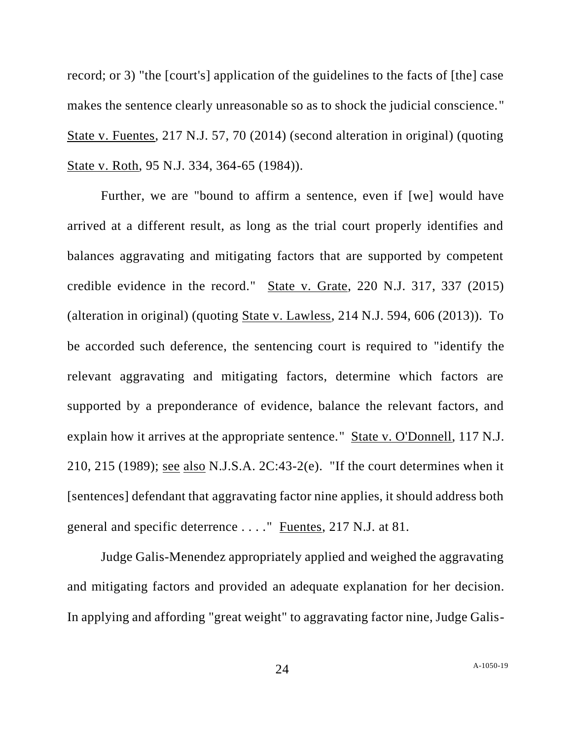record; or 3) "the [court's] application of the guidelines to the facts of [the] case makes the sentence clearly unreasonable so as to shock the judicial conscience." State v. Fuentes, 217 N.J. 57, 70 (2014) (second alteration in original) (quoting State v. Roth, 95 N.J. 334, 364-65 (1984)).

Further, we are "bound to affirm a sentence, even if [we] would have arrived at a different result, as long as the trial court properly identifies and balances aggravating and mitigating factors that are supported by competent credible evidence in the record." State v. Grate, 220 N.J. 317, 337 (2015) (alteration in original) (quoting State v. Lawless, 214 N.J. 594, 606 (2013)). To be accorded such deference, the sentencing court is required to "identify the relevant aggravating and mitigating factors, determine which factors are supported by a preponderance of evidence, balance the relevant factors, and explain how it arrives at the appropriate sentence." State v. O'Donnell, 117 N.J. 210, 215 (1989); see also N.J.S.A. 2C:43-2(e). "If the court determines when it [sentences] defendant that aggravating factor nine applies, it should address both general and specific deterrence . . . ." Fuentes, 217 N.J. at 81.

Judge Galis-Menendez appropriately applied and weighed the aggravating and mitigating factors and provided an adequate explanation for her decision. In applying and affording "great weight" to aggravating factor nine, Judge Galis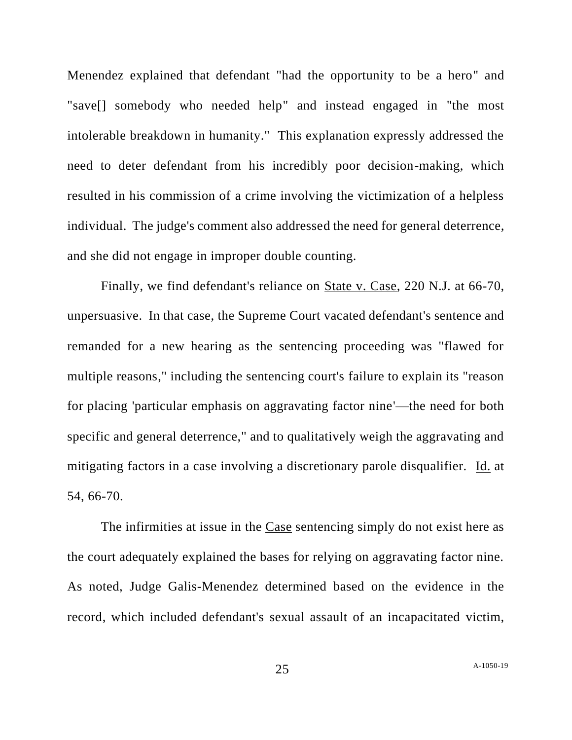Menendez explained that defendant "had the opportunity to be a hero" and "save[] somebody who needed help" and instead engaged in "the most intolerable breakdown in humanity." This explanation expressly addressed the need to deter defendant from his incredibly poor decision-making, which resulted in his commission of a crime involving the victimization of a helpless individual. The judge's comment also addressed the need for general deterrence, and she did not engage in improper double counting.

Finally, we find defendant's reliance on State v. Case, 220 N.J. at 66-70, unpersuasive. In that case, the Supreme Court vacated defendant's sentence and remanded for a new hearing as the sentencing proceeding was "flawed for multiple reasons," including the sentencing court's failure to explain its "reason for placing 'particular emphasis on aggravating factor nine'—the need for both specific and general deterrence," and to qualitatively weigh the aggravating and mitigating factors in a case involving a discretionary parole disqualifier. Id. at 54, 66-70.

The infirmities at issue in the Case sentencing simply do not exist here as the court adequately explained the bases for relying on aggravating factor nine. As noted, Judge Galis-Menendez determined based on the evidence in the record, which included defendant's sexual assault of an incapacitated victim,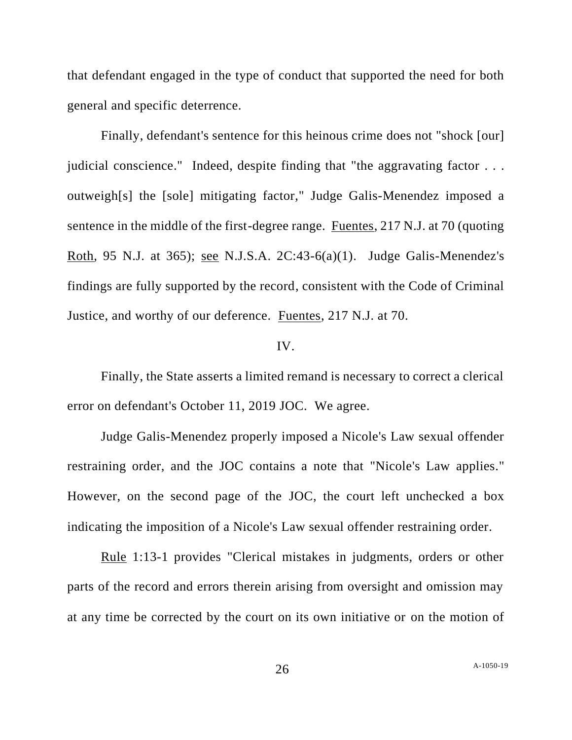that defendant engaged in the type of conduct that supported the need for both general and specific deterrence.

Finally, defendant's sentence for this heinous crime does not "shock [our] judicial conscience." Indeed, despite finding that "the aggravating factor . . . outweigh[s] the [sole] mitigating factor," Judge Galis-Menendez imposed a sentence in the middle of the first-degree range. Fuentes, 217 N.J. at 70 (quoting Roth, 95 N.J. at 365); see N.J.S.A. 2C:43-6(a)(1). Judge Galis-Menendez's findings are fully supported by the record, consistent with the Code of Criminal Justice, and worthy of our deference. Fuentes, 217 N.J. at 70.

#### IV.

Finally, the State asserts a limited remand is necessary to correct a clerical error on defendant's October 11, 2019 JOC. We agree.

Judge Galis-Menendez properly imposed a Nicole's Law sexual offender restraining order, and the JOC contains a note that "Nicole's Law applies." However, on the second page of the JOC, the court left unchecked a box indicating the imposition of a Nicole's Law sexual offender restraining order.

Rule 1:13-1 provides "Clerical mistakes in judgments, orders or other parts of the record and errors therein arising from oversight and omission may at any time be corrected by the court on its own initiative or on the motion of